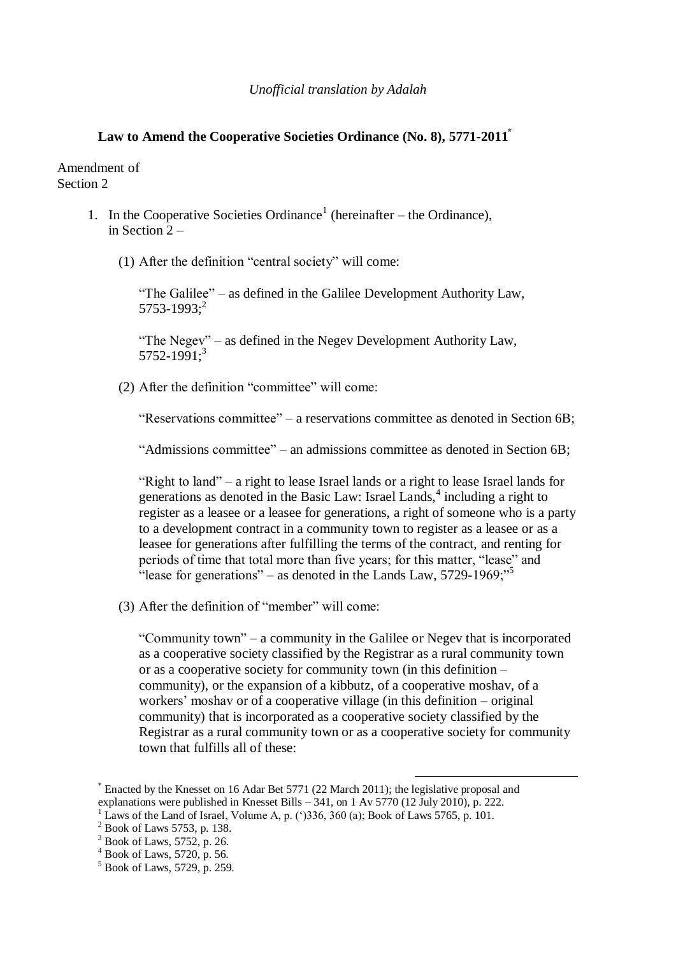## **Law to Amend the Cooperative Societies Ordinance (No. 8), 5771-2011\***

Amendment of Section 2

- 1. In the Cooperative Societies Ordinance<sup>1</sup> (hereinafter the Ordinance), in Section 2 –
	- (1) After the definition "central society" will come:

"The Galilee" – as defined in the Galilee Development Authority Law,  $5753 - 1993$ ;<sup>2</sup>

"The Negev" – as defined in the Negev Development Authority Law, 5752-1991;<sup>3</sup>

(2) After the definition "committee" will come:

"Reservations committee" – a reservations committee as denoted in Section 6B;

"Admissions committee" – an admissions committee as denoted in Section 6B;

"Right to land" – a right to lease Israel lands or a right to lease Israel lands for generations as denoted in the Basic Law: Israel Lands,<sup>4</sup> including a right to register as a leasee or a leasee for generations, a right of someone who is a party to a development contract in a community town to register as a leasee or as a leasee for generations after fulfilling the terms of the contract, and renting for periods of time that total more than five years; for this matter, "lease" and "lease for generations" – as denoted in the Lands Law,  $5729-1969$ ;"

(3) After the definition of "member" will come:

"Community town" – a community in the Galilee or Negev that is incorporated as a cooperative society classified by the Registrar as a rural community town or as a cooperative society for community town (in this definition – community), or the expansion of a kibbutz, of a cooperative moshav, of a workers' moshav or of a cooperative village (in this definition – original community) that is incorporated as a cooperative society classified by the Registrar as a rural community town or as a cooperative society for community town that fulfills all of these:

1

<sup>\*</sup> Enacted by the Knesset on 16 Adar Bet 5771 (22 March 2011); the legislative proposal and explanations were published in Knesset Bills  $-$  341, on 1 Av 5770 (12 July 2010), p. 222.

Laws of the Land of Israel, Volume A, p. ( $\degree$ )336, 360 (a); Book of Laws 5765, p. 101.

<sup>2</sup> Book of Laws 5753, p. 138.

 $3$  Book of Laws, 5752, p. 26.

 $4$  Book of Laws, 5720, p. 56.

<sup>5</sup> Book of Laws, 5729, p. 259.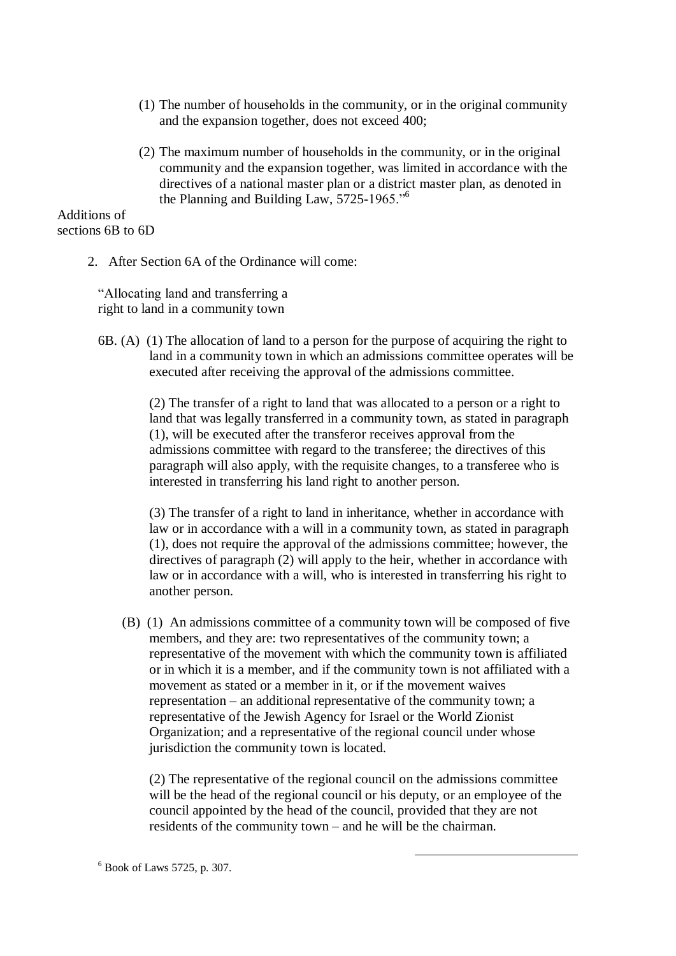- (1) The number of households in the community, or in the original community and the expansion together, does not exceed 400;
- (2) The maximum number of households in the community, or in the original community and the expansion together, was limited in accordance with the directives of a national master plan or a district master plan, as denoted in the Planning and Building Law, 5725-1965."<sup>6</sup>

Additions of sections 6B to 6D

2. After Section 6A of the Ordinance will come:

"Allocating land and transferring a right to land in a community town

6B. (A) (1) The allocation of land to a person for the purpose of acquiring the right to land in a community town in which an admissions committee operates will be executed after receiving the approval of the admissions committee.

> (2) The transfer of a right to land that was allocated to a person or a right to land that was legally transferred in a community town, as stated in paragraph (1), will be executed after the transferor receives approval from the admissions committee with regard to the transferee; the directives of this paragraph will also apply, with the requisite changes, to a transferee who is interested in transferring his land right to another person.

> (3) The transfer of a right to land in inheritance, whether in accordance with law or in accordance with a will in a community town, as stated in paragraph (1), does not require the approval of the admissions committee; however, the directives of paragraph (2) will apply to the heir, whether in accordance with law or in accordance with a will, who is interested in transferring his right to another person.

 (B) (1) An admissions committee of a community town will be composed of five members, and they are: two representatives of the community town; a representative of the movement with which the community town is affiliated or in which it is a member, and if the community town is not affiliated with a movement as stated or a member in it, or if the movement waives representation – an additional representative of the community town; a representative of the Jewish Agency for Israel or the World Zionist Organization; and a representative of the regional council under whose jurisdiction the community town is located.

(2) The representative of the regional council on the admissions committee will be the head of the regional council or his deputy, or an employee of the council appointed by the head of the council, provided that they are not residents of the community town – and he will be the chairman.

<u>.</u>

 $6$  Book of Laws 5725, p. 307.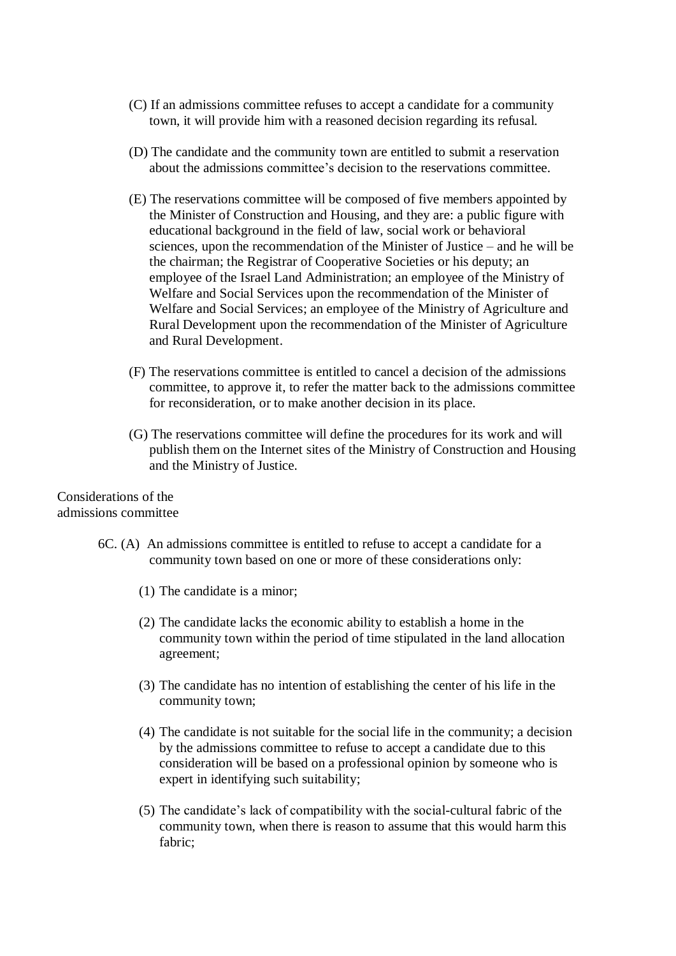- (C) If an admissions committee refuses to accept a candidate for a community town, it will provide him with a reasoned decision regarding its refusal.
- (D) The candidate and the community town are entitled to submit a reservation about the admissions committee"s decision to the reservations committee.
- (E) The reservations committee will be composed of five members appointed by the Minister of Construction and Housing, and they are: a public figure with educational background in the field of law, social work or behavioral sciences, upon the recommendation of the Minister of Justice – and he will be the chairman; the Registrar of Cooperative Societies or his deputy; an employee of the Israel Land Administration; an employee of the Ministry of Welfare and Social Services upon the recommendation of the Minister of Welfare and Social Services; an employee of the Ministry of Agriculture and Rural Development upon the recommendation of the Minister of Agriculture and Rural Development.
- (F) The reservations committee is entitled to cancel a decision of the admissions committee, to approve it, to refer the matter back to the admissions committee for reconsideration, or to make another decision in its place.
- (G) The reservations committee will define the procedures for its work and will publish them on the Internet sites of the Ministry of Construction and Housing and the Ministry of Justice.

## Considerations of the admissions committee

- 6C. (A) An admissions committee is entitled to refuse to accept a candidate for a community town based on one or more of these considerations only:
	- (1) The candidate is a minor;
	- (2) The candidate lacks the economic ability to establish a home in the community town within the period of time stipulated in the land allocation agreement;
	- (3) The candidate has no intention of establishing the center of his life in the community town;
	- (4) The candidate is not suitable for the social life in the community; a decision by the admissions committee to refuse to accept a candidate due to this consideration will be based on a professional opinion by someone who is expert in identifying such suitability;
	- (5) The candidate"s lack of compatibility with the social-cultural fabric of the community town, when there is reason to assume that this would harm this fabric;